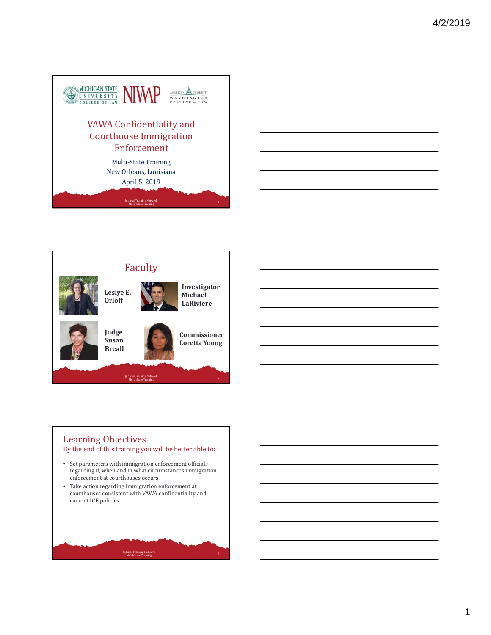







## Learning Objectives

By the end of this training you will be better able to:

- Set parameters with immigration enforcement officials regarding if, when and in what circumstances immigration enforcement at courthouses occurs
- Take action regarding immigration enforcement at courthouses consistent with VAWA confidentiality and current ICE policies.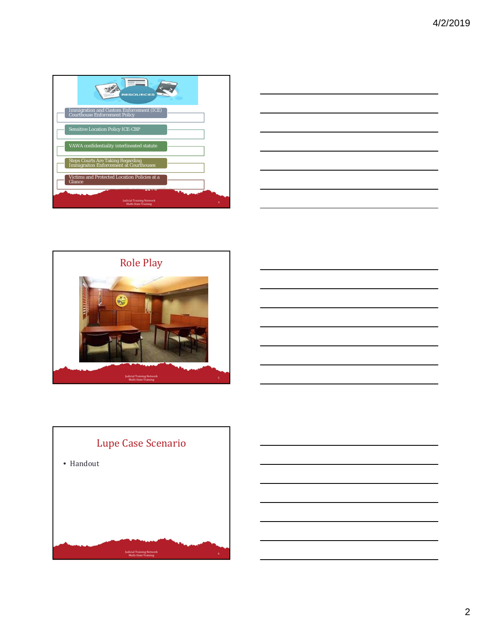





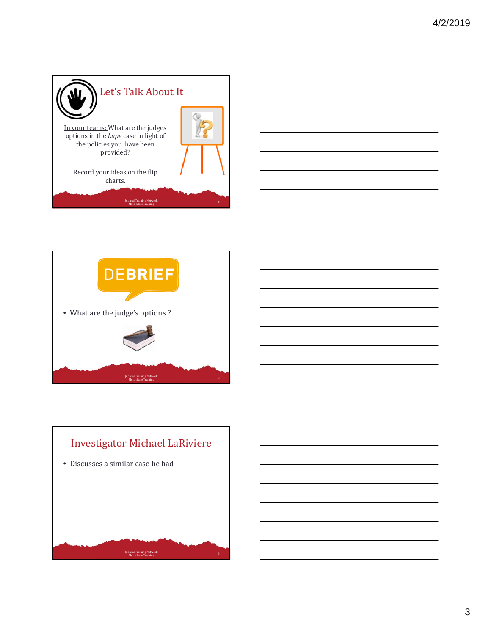